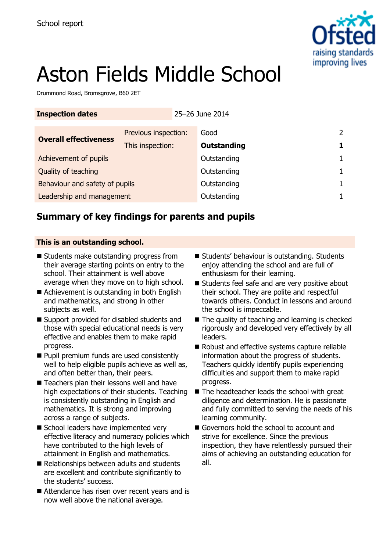

# Aston Fields Middle School

Drummond Road, Bromsgrove, B60 2ET

| <b>Inspection dates</b>        |                      | 25-26 June 2014 |             |  |
|--------------------------------|----------------------|-----------------|-------------|--|
| <b>Overall effectiveness</b>   | Previous inspection: |                 | Good        |  |
|                                | This inspection:     |                 | Outstanding |  |
| Achievement of pupils          |                      |                 | Outstanding |  |
| Quality of teaching            |                      |                 | Outstanding |  |
| Behaviour and safety of pupils |                      |                 | Outstanding |  |
| Leadership and management      |                      |                 | Outstanding |  |

# **Summary of key findings for parents and pupils**

## **This is an outstanding school.**

- Students make outstanding progress from their average starting points on entry to the school. Their attainment is well above average when they move on to high school.
- Achievement is outstanding in both English and mathematics, and strong in other subjects as well.
- Support provided for disabled students and those with special educational needs is very effective and enables them to make rapid progress.
- **Pupil premium funds are used consistently** well to help eligible pupils achieve as well as, and often better than, their peers.
- Teachers plan their lessons well and have high expectations of their students. Teaching is consistently outstanding in English and mathematics. It is strong and improving across a range of subjects.
- School leaders have implemented very effective literacy and numeracy policies which have contributed to the high levels of attainment in English and mathematics.
- Relationships between adults and students are excellent and contribute significantly to the students' success.
- Attendance has risen over recent years and is now well above the national average.
- Students' behaviour is outstanding. Students enjoy attending the school and are full of enthusiasm for their learning.
- Students feel safe and are very positive about their school. They are polite and respectful towards others. Conduct in lessons and around the school is impeccable.
- $\blacksquare$  The quality of teaching and learning is checked rigorously and developed very effectively by all leaders.
- Robust and effective systems capture reliable information about the progress of students. Teachers quickly identify pupils experiencing difficulties and support them to make rapid progress.
- The headteacher leads the school with great diligence and determination. He is passionate and fully committed to serving the needs of his learning community.
- Governors hold the school to account and strive for excellence. Since the previous inspection, they have relentlessly pursued their aims of achieving an outstanding education for all.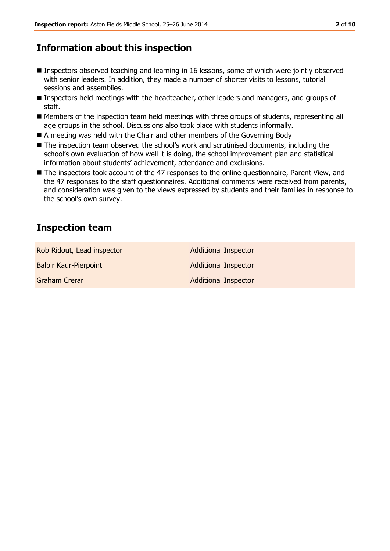# **Information about this inspection**

- Inspectors observed teaching and learning in 16 lessons, some of which were jointly observed with senior leaders. In addition, they made a number of shorter visits to lessons, tutorial sessions and assemblies.
- Inspectors held meetings with the headteacher, other leaders and managers, and groups of staff.
- Members of the inspection team held meetings with three groups of students, representing all age groups in the school. Discussions also took place with students informally.
- A meeting was held with the Chair and other members of the Governing Body
- The inspection team observed the school's work and scrutinised documents, including the school's own evaluation of how well it is doing, the school improvement plan and statistical information about students' achievement, attendance and exclusions.
- The inspectors took account of the 47 responses to the online questionnaire, Parent View, and the 47 responses to the staff questionnaires. Additional comments were received from parents, and consideration was given to the views expressed by students and their families in response to the school's own survey.

# **Inspection team**

Rob Ridout, Lead inspector **Additional Inspector** Balbir Kaur-Pierpoint **Additional Inspector** Additional Inspector

Graham Crerar **Additional Inspector** Additional Inspector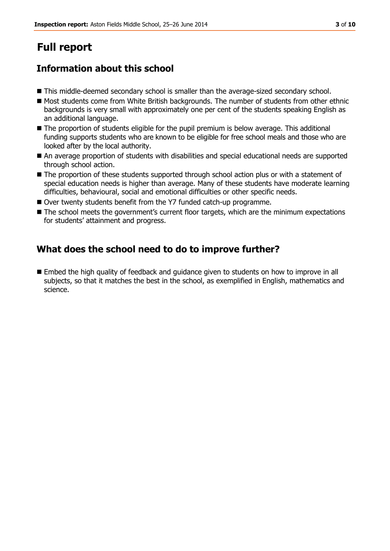# **Full report**

# **Information about this school**

- **This middle-deemed secondary school is smaller than the average-sized secondary school.**
- $\blacksquare$  Most students come from White British backgrounds. The number of students from other ethnic backgrounds is very small with approximately one per cent of the students speaking English as an additional language.
- $\blacksquare$  The proportion of students eligible for the pupil premium is below average. This additional funding supports students who are known to be eligible for free school meals and those who are looked after by the local authority.
- An average proportion of students with disabilities and special educational needs are supported through school action.
- The proportion of these students supported through school action plus or with a statement of special education needs is higher than average. Many of these students have moderate learning difficulties, behavioural, social and emotional difficulties or other specific needs.
- Over twenty students benefit from the Y7 funded catch-up programme.
- The school meets the government's current floor targets, which are the minimum expectations for students' attainment and progress.

# **What does the school need to do to improve further?**

 Embed the high quality of feedback and guidance given to students on how to improve in all subjects, so that it matches the best in the school, as exemplified in English, mathematics and science.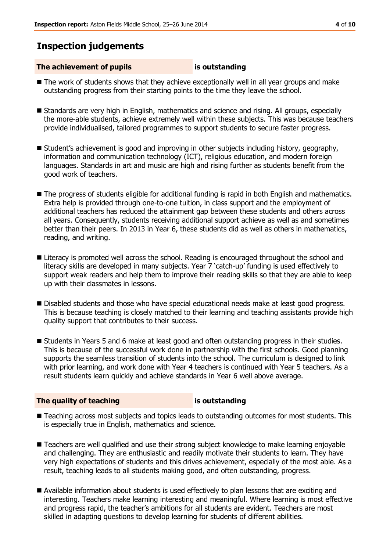## **Inspection judgements**

#### **The achievement of pupils is outstanding**

- The work of students shows that they achieve exceptionally well in all year groups and make outstanding progress from their starting points to the time they leave the school.
- **Standards are very high in English, mathematics and science and rising. All groups, especially** the more-able students, achieve extremely well within these subjects. This was because teachers provide individualised, tailored programmes to support students to secure faster progress.
- **Student's achievement is good and improving in other subjects including history, geography,** information and communication technology (ICT), religious education, and modern foreign languages. Standards in art and music are high and rising further as students benefit from the good work of teachers.
- **The progress of students eligible for additional funding is rapid in both English and mathematics.** Extra help is provided through one-to-one tuition, in class support and the employment of additional teachers has reduced the attainment gap between these students and others across all years. Consequently, students receiving additional support achieve as well as and sometimes better than their peers. In 2013 in Year 6, these students did as well as others in mathematics, reading, and writing.
- **E** Literacy is promoted well across the school. Reading is encouraged throughout the school and literacy skills are developed in many subjects. Year 7 'catch-up' funding is used effectively to support weak readers and help them to improve their reading skills so that they are able to keep up with their classmates in lessons.
- Disabled students and those who have special educational needs make at least good progress. This is because teaching is closely matched to their learning and teaching assistants provide high quality support that contributes to their success.
- Students in Years 5 and 6 make at least good and often outstanding progress in their studies. This is because of the successful work done in partnership with the first schools. Good planning supports the seamless transition of students into the school. The curriculum is designed to link with prior learning, and work done with Year 4 teachers is continued with Year 5 teachers. As a result students learn quickly and achieve standards in Year 6 well above average.

#### **The quality of teaching is outstanding**

- Teaching across most subjects and topics leads to outstanding outcomes for most students. This is especially true in English, mathematics and science.
- **Teachers are well qualified and use their strong subject knowledge to make learning enjoyable** and challenging. They are enthusiastic and readily motivate their students to learn. They have very high expectations of students and this drives achievement, especially of the most able. As a result, teaching leads to all students making good, and often outstanding, progress.
- Available information about students is used effectively to plan lessons that are exciting and interesting. Teachers make learning interesting and meaningful. Where learning is most effective and progress rapid, the teacher's ambitions for all students are evident. Teachers are most skilled in adapting questions to develop learning for students of different abilities.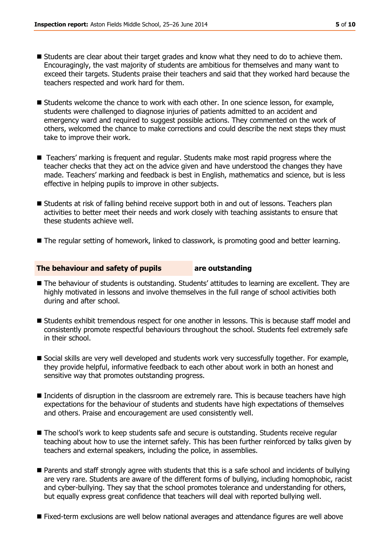- Students are clear about their target grades and know what they need to do to achieve them. Encouragingly, the vast majority of students are ambitious for themselves and many want to exceed their targets. Students praise their teachers and said that they worked hard because the teachers respected and work hard for them.
- **Students welcome the chance to work with each other. In one science lesson, for example,** students were challenged to diagnose injuries of patients admitted to an accident and emergency ward and required to suggest possible actions. They commented on the work of others, welcomed the chance to make corrections and could describe the next steps they must take to improve their work.
- Teachers' marking is frequent and regular. Students make most rapid progress where the teacher checks that they act on the advice given and have understood the changes they have made. Teachers' marking and feedback is best in English, mathematics and science, but is less effective in helping pupils to improve in other subjects.
- **Students at risk of falling behind receive support both in and out of lessons. Teachers plan** activities to better meet their needs and work closely with teaching assistants to ensure that these students achieve well.
- The regular setting of homework, linked to classwork, is promoting good and better learning.

#### **The behaviour and safety of pupils are outstanding**

- The behaviour of students is outstanding. Students' attitudes to learning are excellent. They are highly motivated in lessons and involve themselves in the full range of school activities both during and after school.
- Students exhibit tremendous respect for one another in lessons. This is because staff model and consistently promote respectful behaviours throughout the school. Students feel extremely safe in their school.
- Social skills are very well developed and students work very successfully together. For example, they provide helpful, informative feedback to each other about work in both an honest and sensitive way that promotes outstanding progress.
- Incidents of disruption in the classroom are extremely rare. This is because teachers have high expectations for the behaviour of students and students have high expectations of themselves and others. Praise and encouragement are used consistently well.
- The school's work to keep students safe and secure is outstanding. Students receive regular teaching about how to use the internet safely. This has been further reinforced by talks given by teachers and external speakers, including the police, in assemblies.
- Parents and staff strongly agree with students that this is a safe school and incidents of bullying are very rare. Students are aware of the different forms of bullying, including homophobic, racist and cyber-bullying. They say that the school promotes tolerance and understanding for others, but equally express great confidence that teachers will deal with reported bullying well.
- Fixed-term exclusions are well below national averages and attendance figures are well above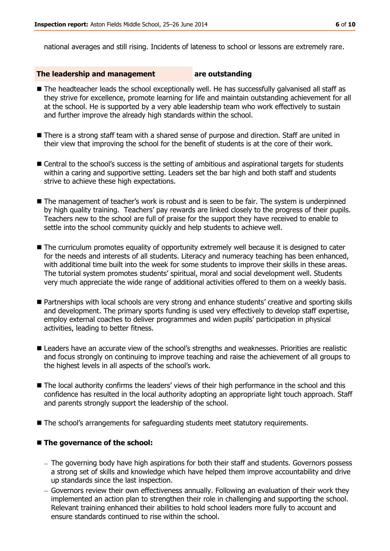national averages and still rising. Incidents of lateness to school or lessons are extremely rare.

### **The leadership and management are outstanding**

- The headteacher leads the school exceptionally well. He has successfully galvanised all staff as they strive for excellence, promote learning for life and maintain outstanding achievement for all at the school. He is supported by a very able leadership team who work effectively to sustain and further improve the already high standards within the school.
- **There is a strong staff team with a shared sense of purpose and direction. Staff are united in** their view that improving the school for the benefit of students is at the core of their work.
- Central to the school's success is the setting of ambitious and aspirational targets for students within a caring and supportive setting. Leaders set the bar high and both staff and students strive to achieve these high expectations.
- The management of teacher's work is robust and is seen to be fair. The system is underpinned by high quality training. Teachers' pay rewards are linked closely to the progress of their pupils. Teachers new to the school are full of praise for the support they have received to enable to settle into the school community quickly and help students to achieve well.
- $\blacksquare$  The curriculum promotes equality of opportunity extremely well because it is designed to cater for the needs and interests of all students. Literacy and numeracy teaching has been enhanced, with additional time built into the week for some students to improve their skills in these areas. The tutorial system promotes students' spiritual, moral and social development well. Students very much appreciate the wide range of additional activities offered to them on a weekly basis.
- Partnerships with local schools are very strong and enhance students' creative and sporting skills and development. The primary sports funding is used very effectively to develop staff expertise, employ external coaches to deliver programmes and widen pupils' participation in physical activities, leading to better fitness.
- Leaders have an accurate view of the school's strengths and weaknesses. Priorities are realistic and focus strongly on continuing to improve teaching and raise the achievement of all groups to the highest levels in all aspects of the school's work.
- $\blacksquare$  The local authority confirms the leaders' views of their high performance in the school and this confidence has resulted in the local authority adopting an appropriate light touch approach. Staff and parents strongly support the leadership of the school.
- The school's arrangements for safeguarding students meet statutory requirements.

### ■ The governance of the school:

- The governing body have high aspirations for both their staff and students. Governors possess a strong set of skills and knowledge which have helped them improve accountability and drive up standards since the last inspection.
- Governors review their own effectiveness annually. Following an evaluation of their work they implemented an action plan to strengthen their role in challenging and supporting the school. Relevant training enhanced their abilities to hold school leaders more fully to account and ensure standards continued to rise within the school.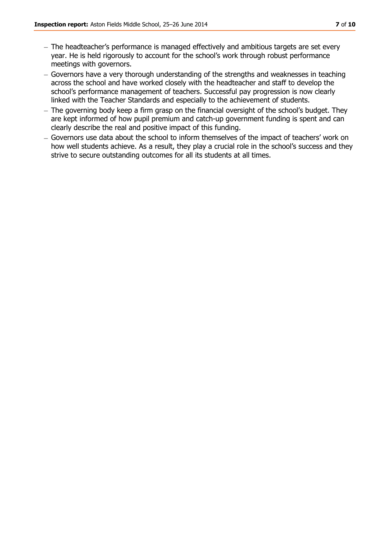- The headteacher's performance is managed effectively and ambitious targets are set every year. He is held rigorously to account for the school's work through robust performance meetings with governors.
- Governors have a very thorough understanding of the strengths and weaknesses in teaching across the school and have worked closely with the headteacher and staff to develop the school's performance management of teachers. Successful pay progression is now clearly linked with the Teacher Standards and especially to the achievement of students.
- The governing body keep a firm grasp on the financial oversight of the school's budget. They are kept informed of how pupil premium and catch-up government funding is spent and can clearly describe the real and positive impact of this funding.
- Governors use data about the school to inform themselves of the impact of teachers' work on how well students achieve. As a result, they play a crucial role in the school's success and they strive to secure outstanding outcomes for all its students at all times.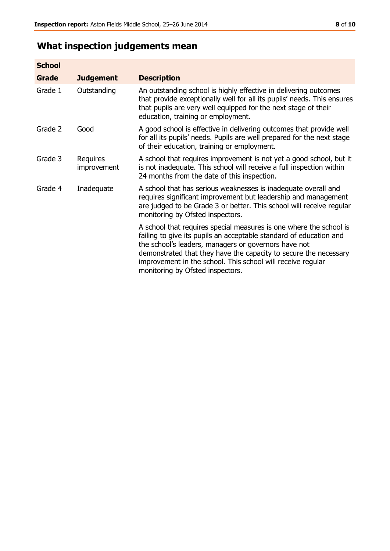# **What inspection judgements mean**

| <b>School</b> |                         |                                                                                                                                                                                                                                                                                                                                                                         |
|---------------|-------------------------|-------------------------------------------------------------------------------------------------------------------------------------------------------------------------------------------------------------------------------------------------------------------------------------------------------------------------------------------------------------------------|
| <b>Grade</b>  | <b>Judgement</b>        | <b>Description</b>                                                                                                                                                                                                                                                                                                                                                      |
| Grade 1       | Outstanding             | An outstanding school is highly effective in delivering outcomes<br>that provide exceptionally well for all its pupils' needs. This ensures<br>that pupils are very well equipped for the next stage of their<br>education, training or employment.                                                                                                                     |
| Grade 2       | Good                    | A good school is effective in delivering outcomes that provide well<br>for all its pupils' needs. Pupils are well prepared for the next stage<br>of their education, training or employment.                                                                                                                                                                            |
| Grade 3       | Requires<br>improvement | A school that requires improvement is not yet a good school, but it<br>is not inadequate. This school will receive a full inspection within<br>24 months from the date of this inspection.                                                                                                                                                                              |
| Grade 4       | Inadequate              | A school that has serious weaknesses is inadequate overall and<br>requires significant improvement but leadership and management<br>are judged to be Grade 3 or better. This school will receive regular<br>monitoring by Ofsted inspectors.                                                                                                                            |
|               |                         | A school that requires special measures is one where the school is<br>failing to give its pupils an acceptable standard of education and<br>the school's leaders, managers or governors have not<br>demonstrated that they have the capacity to secure the necessary<br>improvement in the school. This school will receive regular<br>monitoring by Ofsted inspectors. |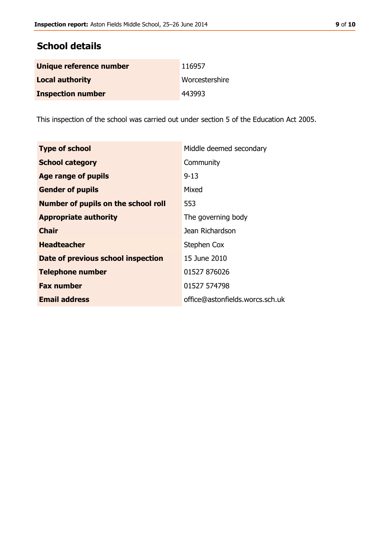# **School details**

| Unique reference number  | 116957         |
|--------------------------|----------------|
| <b>Local authority</b>   | Worcestershire |
| <b>Inspection number</b> | 443993         |

This inspection of the school was carried out under section 5 of the Education Act 2005.

| <b>Type of school</b>                      | Middle deemed secondary         |
|--------------------------------------------|---------------------------------|
| <b>School category</b>                     | Community                       |
| Age range of pupils                        | $9 - 13$                        |
| <b>Gender of pupils</b>                    | Mixed                           |
| <b>Number of pupils on the school roll</b> | 553                             |
| <b>Appropriate authority</b>               | The governing body              |
| <b>Chair</b>                               | Jean Richardson                 |
| <b>Headteacher</b>                         | Stephen Cox                     |
| Date of previous school inspection         | 15 June 2010                    |
| <b>Telephone number</b>                    | 01527 876026                    |
| <b>Fax number</b>                          | 01527 574798                    |
| <b>Email address</b>                       | office@astonfields.worcs.sch.uk |